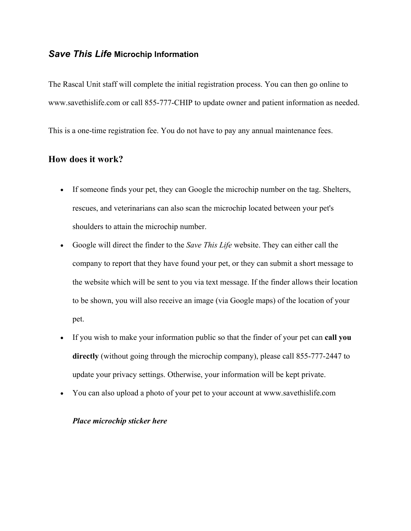## *Save This Life* **Microchip Information**

The Rascal Unit staff will complete the initial registration process. You can then go online to www.savethislife.com or call 855-777-CHIP to update owner and patient information as needed.

This is a one-time registration fee. You do not have to pay any annual maintenance fees.

## **How does it work?**

- If someone finds your pet, they can Google the microchip number on the tag. Shelters, rescues, and veterinarians can also scan the microchip located between your pet's shoulders to attain the microchip number.
- Google will direct the finder to the *Save This Life* website. They can either call the company to report that they have found your pet, or they can submit a short message to the website which will be sent to you via text message. If the finder allows their location to be shown, you will also receive an image (via Google maps) of the location of your pet.
- If you wish to make your information public so that the finder of your pet can **call you directly** (without going through the microchip company), please call 855-777-2447 to update your privacy settings. Otherwise, your information will be kept private.
- You can also upload a photo of your pet to your account at www.savethislife.com

## *Place microchip sticker here*